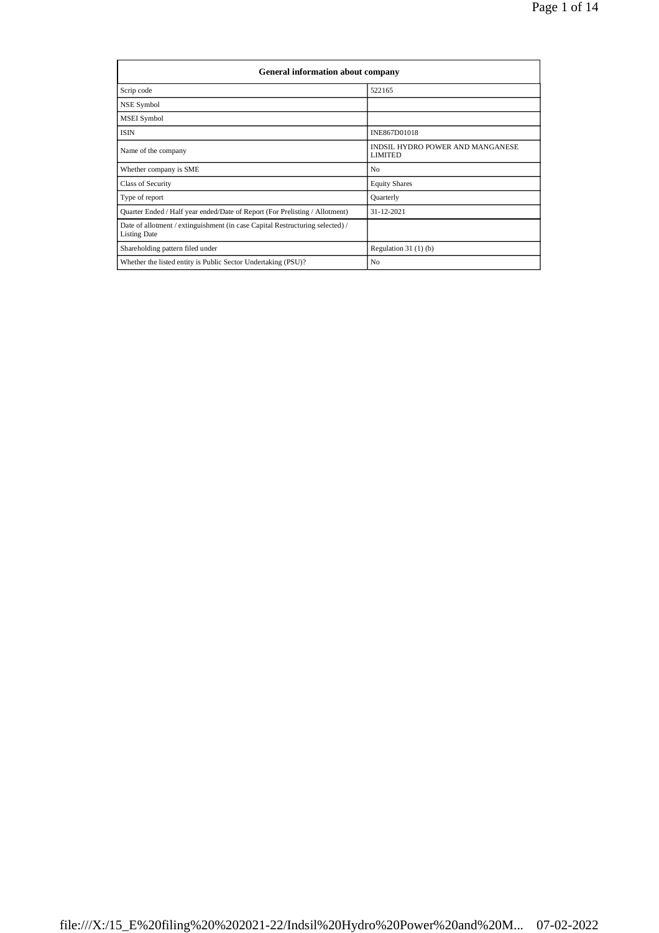| General information about company                                                                    |                                                    |  |  |  |  |  |  |
|------------------------------------------------------------------------------------------------------|----------------------------------------------------|--|--|--|--|--|--|
| Scrip code                                                                                           | 522165                                             |  |  |  |  |  |  |
| NSE Symbol                                                                                           |                                                    |  |  |  |  |  |  |
| MSEI Symbol                                                                                          |                                                    |  |  |  |  |  |  |
| <b>ISIN</b>                                                                                          | INE867D01018                                       |  |  |  |  |  |  |
| Name of the company                                                                                  | INDSIL HYDRO POWER AND MANGANESE<br><b>LIMITED</b> |  |  |  |  |  |  |
| Whether company is SME                                                                               | N <sub>0</sub>                                     |  |  |  |  |  |  |
| Class of Security                                                                                    | <b>Equity Shares</b>                               |  |  |  |  |  |  |
| Type of report                                                                                       | Quarterly                                          |  |  |  |  |  |  |
| Quarter Ended / Half year ended/Date of Report (For Prelisting / Allotment)                          | $31 - 12 - 2021$                                   |  |  |  |  |  |  |
| Date of allotment / extinguishment (in case Capital Restructuring selected) /<br><b>Listing Date</b> |                                                    |  |  |  |  |  |  |
| Shareholding pattern filed under                                                                     | Regulation $31(1)(b)$                              |  |  |  |  |  |  |
| Whether the listed entity is Public Sector Undertaking (PSU)?                                        | N <sub>0</sub>                                     |  |  |  |  |  |  |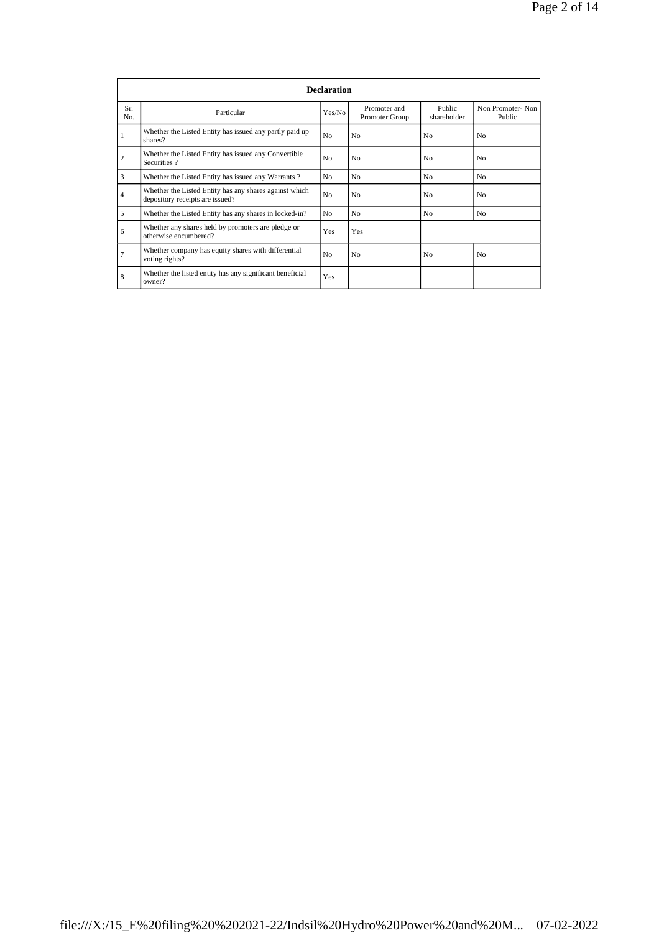|            |                                                                                           | <b>Declaration</b> |                                |                       |                            |
|------------|-------------------------------------------------------------------------------------------|--------------------|--------------------------------|-----------------------|----------------------------|
| Sr.<br>No. | Particular                                                                                | Yes/No             | Promoter and<br>Promoter Group | Public<br>shareholder | Non Promoter-Non<br>Public |
| 1          | Whether the Listed Entity has issued any partly paid up<br>shares?                        | No                 | N <sub>0</sub>                 | N <sub>0</sub>        | N <sub>0</sub>             |
| 2          | Whether the Listed Entity has issued any Convertible<br>Securities?                       | No                 | N <sub>0</sub>                 | N <sub>0</sub>        | N <sub>0</sub>             |
| 3          | Whether the Listed Entity has issued any Warrants?                                        | No                 | N <sub>0</sub>                 | No                    | N <sub>0</sub>             |
| 4          | Whether the Listed Entity has any shares against which<br>depository receipts are issued? | No                 | N <sub>0</sub>                 | No.                   | No                         |
| 5          | Whether the Listed Entity has any shares in locked-in?                                    | No                 | N <sub>0</sub>                 | N <sub>0</sub>        | N <sub>o</sub>             |
| 6          | Whether any shares held by promoters are pledge or<br>otherwise encumbered?               | Yes                | Yes                            |                       |                            |
| 7          | Whether company has equity shares with differential<br>voting rights?                     | No                 | N <sub>0</sub>                 | N <sub>0</sub>        | N <sub>0</sub>             |
| 8          | Whether the listed entity has any significant beneficial<br>owner?                        | Yes                |                                |                       |                            |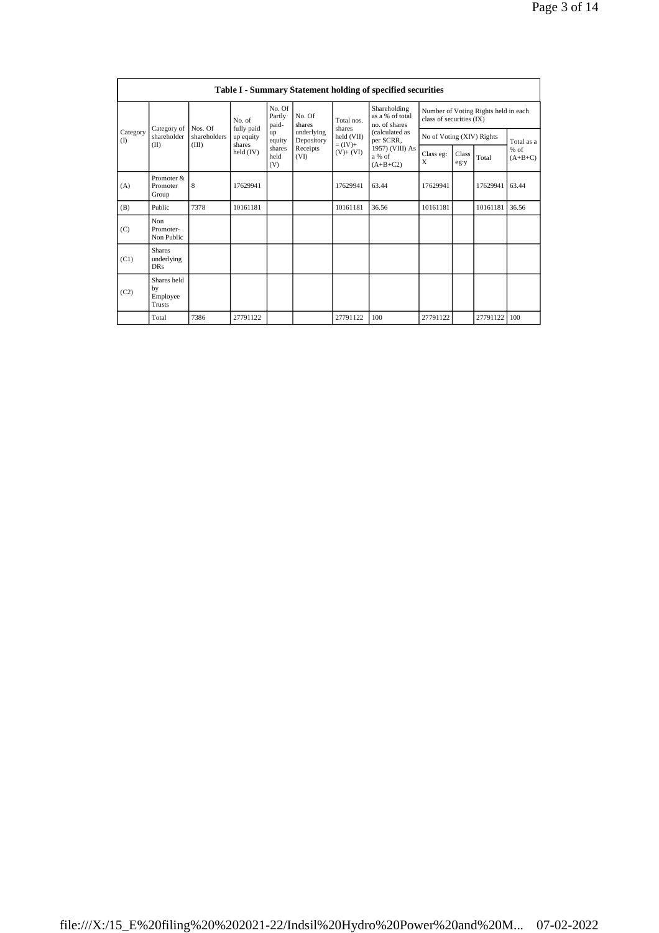|                 | Table I - Summary Statement holding of specified securities |                         |                           |                       |                          |                                                  |                                                                                      |                           |               |          |                                   |
|-----------------|-------------------------------------------------------------|-------------------------|---------------------------|-----------------------|--------------------------|--------------------------------------------------|--------------------------------------------------------------------------------------|---------------------------|---------------|----------|-----------------------------------|
|                 |                                                             | No. of                  | No. Of<br>Partly<br>paid- | No. Of<br>shares      | Total nos.               | Shareholding<br>as a % of total<br>no. of shares | Number of Voting Rights held in each<br>class of securities (IX)                     |                           |               |          |                                   |
| Category<br>(1) | Category of<br>shareholder                                  | Nos. Of<br>shareholders | fully paid<br>up equity   | up<br>equity          | underlying<br>Depository | shares<br>held (VII)                             | (calculated as<br>per SCRR,<br>$= (IV) +$<br>1957) (VIII) As<br>a % of<br>$(A+B+C2)$ | No of Voting (XIV) Rights |               |          | Total as a<br>$%$ of<br>$(A+B+C)$ |
|                 | (II)                                                        | (III)                   | shares<br>held (IV)       | shares<br>held<br>(V) | Receipts<br>(VI)         | $(V)$ + $(VI)$                                   |                                                                                      | Class eg:<br>X            | Class<br>eg:y | Total    |                                   |
| (A)             | Promoter &<br>Promoter<br>Group                             | 8                       | 17629941                  |                       |                          | 17629941                                         | 63.44                                                                                | 17629941                  |               | 17629941 | 63.44                             |
| (B)             | Public                                                      | 7378                    | 10161181                  |                       |                          | 10161181                                         | 36.56                                                                                | 10161181                  |               | 10161181 | 36.56                             |
| (C)             | Non<br>Promoter-<br>Non Public                              |                         |                           |                       |                          |                                                  |                                                                                      |                           |               |          |                                   |
| (C1)            | <b>Shares</b><br>underlying<br><b>DRs</b>                   |                         |                           |                       |                          |                                                  |                                                                                      |                           |               |          |                                   |
| (C2)            | Shares held<br>by<br>Employee<br>Trusts                     |                         |                           |                       |                          |                                                  |                                                                                      |                           |               |          |                                   |
|                 | Total                                                       | 7386                    | 27791122                  |                       |                          | 27791122                                         | 100                                                                                  | 27791122                  |               | 27791122 | 100                               |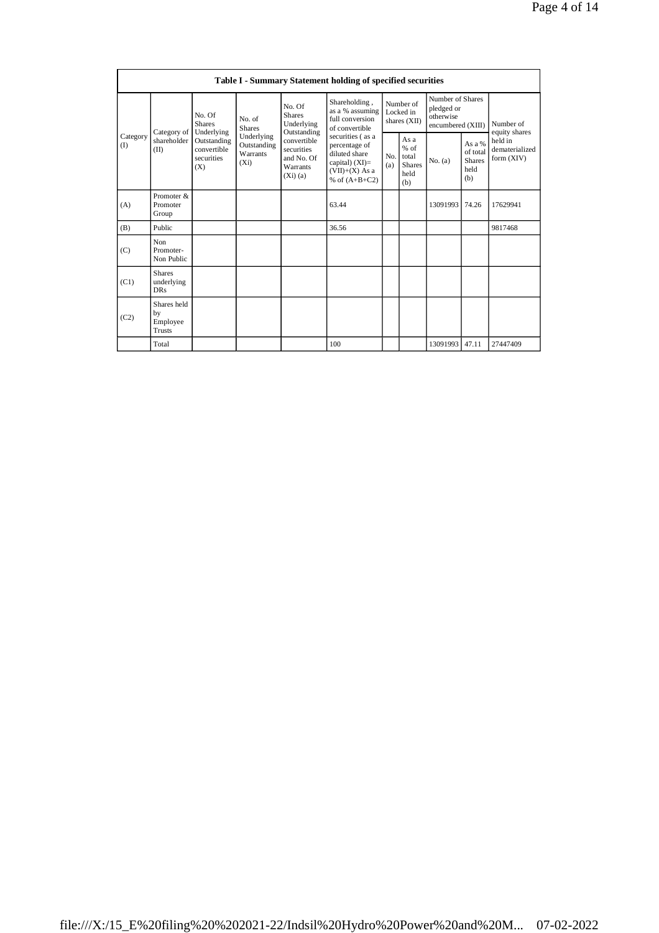|                 | Table I - Summary Statement holding of specified securities |                                                 |                                                  |                                                                                                                |                                                                                                                               |                                        |                                                         |                                                                  |                                                    |                                         |
|-----------------|-------------------------------------------------------------|-------------------------------------------------|--------------------------------------------------|----------------------------------------------------------------------------------------------------------------|-------------------------------------------------------------------------------------------------------------------------------|----------------------------------------|---------------------------------------------------------|------------------------------------------------------------------|----------------------------------------------------|-----------------------------------------|
|                 | Category of                                                 | No. Of<br><b>Shares</b><br>Underlying           | No. of<br><b>Shares</b>                          | Shareholding,<br>No. Of<br>as a % assuming<br><b>Shares</b><br>full conversion<br>Underlying<br>of convertible |                                                                                                                               | Number of<br>Locked in<br>shares (XII) |                                                         | Number of Shares<br>pledged or<br>otherwise<br>encumbered (XIII) |                                                    | Number of<br>equity shares              |
| Category<br>(I) | shareholder<br>(II)                                         | Outstanding<br>convertible<br>securities<br>(X) | Underlying<br>Outstanding<br>Warrants<br>$(X_i)$ | convertible<br>securities<br>and No. Of<br>Warrants<br>$(Xi)$ (a)                                              | Outstanding<br>securities (as a<br>percentage of<br>diluted share<br>capital) $(XI)$ =<br>$(VII)+(X)$ As a<br>% of $(A+B+C2)$ |                                        | As a<br>$%$ of<br>total<br><b>Shares</b><br>held<br>(b) | No. (a)                                                          | As a %<br>of total<br><b>Shares</b><br>held<br>(b) | held in<br>dematerialized<br>form (XIV) |
| (A)             | Promoter &<br>Promoter<br>Group                             |                                                 |                                                  |                                                                                                                | 63.44                                                                                                                         |                                        |                                                         | 13091993                                                         | 74.26                                              | 17629941                                |
| (B)             | Public                                                      |                                                 |                                                  |                                                                                                                | 36.56                                                                                                                         |                                        |                                                         |                                                                  |                                                    | 9817468                                 |
| (C)             | Non<br>Promoter-<br>Non Public                              |                                                 |                                                  |                                                                                                                |                                                                                                                               |                                        |                                                         |                                                                  |                                                    |                                         |
| (C1)            | <b>Shares</b><br>underlying<br><b>DRs</b>                   |                                                 |                                                  |                                                                                                                |                                                                                                                               |                                        |                                                         |                                                                  |                                                    |                                         |
| (C2)            | Shares held<br>by<br>Employee<br><b>Trusts</b>              |                                                 |                                                  |                                                                                                                |                                                                                                                               |                                        |                                                         |                                                                  |                                                    |                                         |
|                 | Total                                                       |                                                 |                                                  |                                                                                                                | 100                                                                                                                           |                                        |                                                         | 13091993                                                         | 47.11                                              | 27447409                                |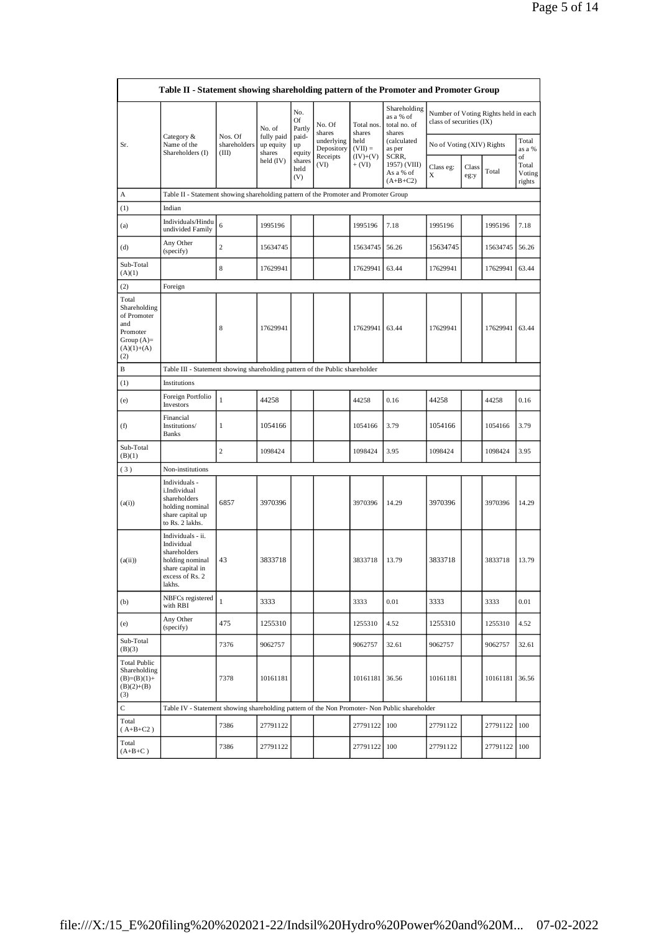|                                                                                                | Table II - Statement showing shareholding pattern of the Promoter and Promoter Group                                |                                  |                                   |                       |                          |                        |                                                     |                           |               |                                      |                                 |
|------------------------------------------------------------------------------------------------|---------------------------------------------------------------------------------------------------------------------|----------------------------------|-----------------------------------|-----------------------|--------------------------|------------------------|-----------------------------------------------------|---------------------------|---------------|--------------------------------------|---------------------------------|
|                                                                                                |                                                                                                                     |                                  | No. of                            | No.<br>Of<br>Partly   | No. Of<br>shares         | Total nos.<br>shares   | Shareholding<br>as a % of<br>total no. of<br>shares | class of securities (IX)  |               | Number of Voting Rights held in each |                                 |
| Sr.                                                                                            | Category &<br>Name of the<br>Shareholders (I)                                                                       | Nos. Of<br>shareholders<br>(III) | fully paid<br>up equity<br>shares | paid-<br>up<br>equity | underlying<br>Depository | held<br>$(VII) =$      | (calculated<br>as per                               | No of Voting (XIV) Rights |               |                                      | Total<br>as a %                 |
|                                                                                                |                                                                                                                     |                                  | held (IV)                         | shares<br>held<br>(V) | Receipts<br>(VI)         | $(IV)+(V)$<br>$+ (VI)$ | SCRR,<br>1957) (VIII)<br>As a % of<br>$(A+B+C2)$    | Class eg:<br>X            | Class<br>eg:y | Total                                | of<br>Total<br>Voting<br>rights |
| А                                                                                              | Table II - Statement showing shareholding pattern of the Promoter and Promoter Group                                |                                  |                                   |                       |                          |                        |                                                     |                           |               |                                      |                                 |
| (1)                                                                                            | Indian                                                                                                              |                                  |                                   |                       |                          |                        |                                                     |                           |               |                                      |                                 |
| (a)                                                                                            | Individuals/Hindu<br>undivided Family                                                                               | 6                                | 1995196                           |                       |                          | 1995196                | 7.18                                                | 1995196                   |               | 1995196                              | 7.18                            |
| (d)                                                                                            | Any Other<br>(specify)                                                                                              | $\overline{c}$                   | 15634745                          |                       |                          | 15634745               | 56.26                                               | 15634745                  |               | 15634745                             | 56.26                           |
| Sub-Total<br>(A)(1)                                                                            |                                                                                                                     | 8                                | 17629941                          |                       |                          | 17629941               | 63.44                                               | 17629941                  |               | 17629941                             | 63.44                           |
| (2)                                                                                            | Foreign                                                                                                             |                                  |                                   |                       |                          |                        |                                                     |                           |               |                                      |                                 |
| Total<br>Shareholding<br>of Promoter<br>and<br>Promoter<br>Group $(A)=$<br>$(A)(1)+(A)$<br>(2) |                                                                                                                     | 8                                | 17629941                          |                       |                          | 17629941               | 63.44                                               | 17629941                  |               | 17629941                             | 63.44                           |
| В                                                                                              | Table III - Statement showing shareholding pattern of the Public shareholder                                        |                                  |                                   |                       |                          |                        |                                                     |                           |               |                                      |                                 |
| (1)                                                                                            | Institutions                                                                                                        |                                  |                                   |                       |                          |                        |                                                     |                           |               |                                      |                                 |
| (e)                                                                                            | Foreign Portfolio<br>Investors                                                                                      | $\mathbf{1}$                     | 44258                             |                       |                          | 44258                  | 0.16                                                | 44258                     |               | 44258                                | 0.16                            |
| (f)                                                                                            | Financial<br>Institutions/<br><b>Banks</b>                                                                          | 1                                | 1054166                           |                       |                          | 1054166                | 3.79                                                | 1054166                   |               | 1054166                              | 3.79                            |
| Sub-Total<br>(B)(1)                                                                            |                                                                                                                     | $\overline{c}$                   | 1098424                           |                       |                          | 1098424                | 3.95                                                | 1098424                   |               | 1098424                              | 3.95                            |
| (3)                                                                                            | Non-institutions                                                                                                    |                                  |                                   |                       |                          |                        |                                                     |                           |               |                                      |                                 |
| (a(i))                                                                                         | Individuals -<br>i.Individual<br>shareholders<br>holding nominal<br>share capital up<br>to Rs. 2 lakhs.             | 6857                             | 3970396                           |                       |                          | 3970396                | 14.29                                               | 3970396                   |               | 3970396                              | 14.29                           |
| (a(ii))                                                                                        | Individuals - ii.<br>Individual<br>shareholders<br>holding nominal<br>share capital in<br>excess of Rs. 2<br>lakhs. | 43                               | 3833718                           |                       |                          | 3833718                | 13.79                                               | 3833718                   |               | 3833718                              | 13.79                           |
| (b)                                                                                            | NBFCs registered<br>with RBI                                                                                        | $\mathbf{1}$                     | 3333                              |                       |                          | 3333                   | 0.01                                                | 3333                      |               | 3333                                 | 0.01                            |
| (e)                                                                                            | Any Other<br>(specify)                                                                                              | 475                              | 1255310                           |                       |                          | 1255310                | 4.52                                                | 1255310                   |               | 1255310                              | 4.52                            |
| Sub-Total<br>(B)(3)                                                                            |                                                                                                                     | 7376                             | 9062757                           |                       |                          | 9062757                | 32.61                                               | 9062757                   |               | 9062757                              | 32.61                           |
| <b>Total Public</b><br>Shareholding<br>$(B)=(B)(1)+$<br>$(B)(2)+(B)$<br>(3)                    |                                                                                                                     | 7378                             | 10161181                          |                       |                          | 10161181 36.56         |                                                     | 10161181                  |               | 10161181                             | 36.56                           |
| $\mathsf{C}$                                                                                   | Table IV - Statement showing shareholding pattern of the Non Promoter- Non Public shareholder                       |                                  |                                   |                       |                          |                        |                                                     |                           |               |                                      |                                 |
| Total<br>$(A+B+C2)$                                                                            |                                                                                                                     | 7386                             | 27791122                          |                       |                          | 27791122 100           |                                                     | 27791122                  |               | 27791122                             | 100                             |
| Total<br>$(A+B+C)$                                                                             |                                                                                                                     | 7386                             | 27791122                          |                       |                          | 27791122               | 100                                                 | 27791122                  |               | 27791122                             | 100                             |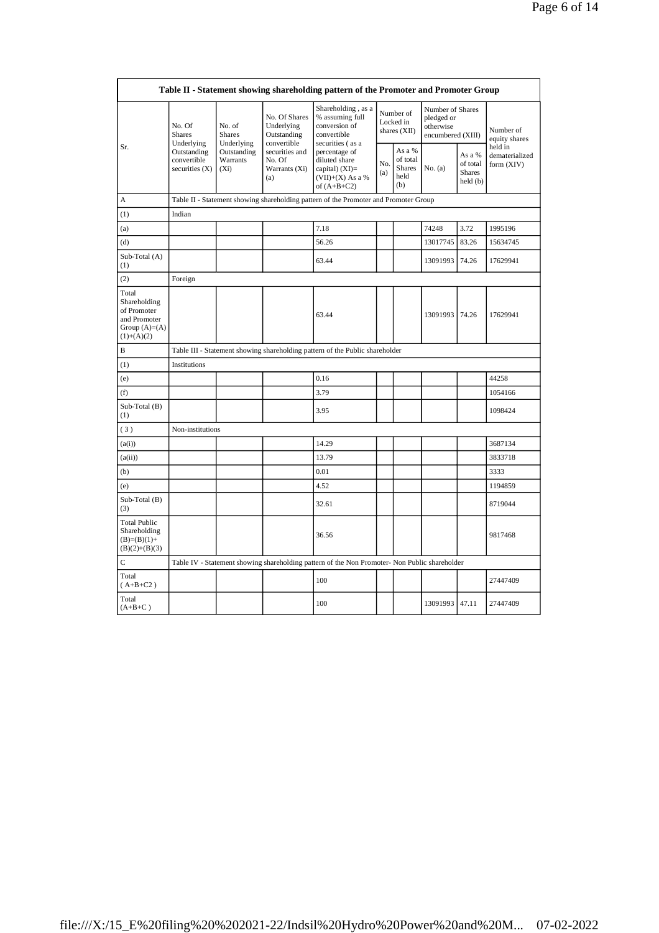|                                                                                         |                                                |                                       |                                                                                                                                                | Table II - Statement showing shareholding pattern of the Promoter and Promoter Group          |            |                                                    |                                                                  |                                                |                                       |  |
|-----------------------------------------------------------------------------------------|------------------------------------------------|---------------------------------------|------------------------------------------------------------------------------------------------------------------------------------------------|-----------------------------------------------------------------------------------------------|------------|----------------------------------------------------|------------------------------------------------------------------|------------------------------------------------|---------------------------------------|--|
|                                                                                         | No. Of<br><b>Shares</b><br>Underlying          | No. of<br><b>Shares</b><br>Underlying | No. Of Shares<br>Underlying<br>Outstanding<br>convertible                                                                                      | Shareholding, as a<br>% assuming full<br>conversion of<br>convertible<br>securities (as a     |            | Number of<br>Locked in<br>shares (XII)             | Number of Shares<br>pledged or<br>otherwise<br>encumbered (XIII) |                                                | Number of<br>equity shares<br>held in |  |
| Sr.                                                                                     | Outstanding<br>convertible<br>securities $(X)$ | Outstanding<br>Warrants<br>$(X_i)$    | securities and<br>percentage of<br>No. Of<br>diluted share<br>Warrants (Xi)<br>capital) $(XI)$ =<br>$(VII)+(X)$ As a %<br>(a)<br>of $(A+B+C2)$ |                                                                                               | No.<br>(a) | As a %<br>of total<br><b>Shares</b><br>held<br>(b) | No. (a)                                                          | As a %<br>of total<br><b>Shares</b><br>held(b) | dematerialized<br>form (XIV)          |  |
| A                                                                                       |                                                |                                       |                                                                                                                                                | Table II - Statement showing shareholding pattern of the Promoter and Promoter Group          |            |                                                    |                                                                  |                                                |                                       |  |
| (1)                                                                                     | Indian                                         |                                       |                                                                                                                                                |                                                                                               |            |                                                    |                                                                  |                                                |                                       |  |
| (a)                                                                                     |                                                |                                       |                                                                                                                                                | 7.18                                                                                          |            |                                                    | 74248                                                            | 3.72                                           | 1995196                               |  |
| (d)                                                                                     |                                                |                                       |                                                                                                                                                | 56.26                                                                                         |            |                                                    | 13017745                                                         | 83.26                                          | 15634745                              |  |
| Sub-Total (A)<br>(1)                                                                    |                                                |                                       |                                                                                                                                                | 63.44                                                                                         |            |                                                    | 13091993                                                         | 74.26                                          | 17629941                              |  |
| (2)                                                                                     | Foreign                                        |                                       |                                                                                                                                                |                                                                                               |            |                                                    |                                                                  |                                                |                                       |  |
| Total<br>Shareholding<br>of Promoter<br>and Promoter<br>Group $(A)=(A)$<br>$(1)+(A)(2)$ |                                                |                                       |                                                                                                                                                | 63.44                                                                                         |            |                                                    | 13091993 74.26                                                   |                                                | 17629941                              |  |
| B                                                                                       |                                                |                                       |                                                                                                                                                | Table III - Statement showing shareholding pattern of the Public shareholder                  |            |                                                    |                                                                  |                                                |                                       |  |
| (1)                                                                                     | Institutions                                   |                                       |                                                                                                                                                |                                                                                               |            |                                                    |                                                                  |                                                |                                       |  |
| (e)                                                                                     |                                                |                                       |                                                                                                                                                | 0.16                                                                                          |            |                                                    |                                                                  |                                                | 44258                                 |  |
| (f)                                                                                     |                                                |                                       |                                                                                                                                                | 3.79                                                                                          |            |                                                    |                                                                  |                                                | 1054166                               |  |
| Sub-Total (B)<br>(1)                                                                    |                                                |                                       |                                                                                                                                                | 3.95                                                                                          |            |                                                    |                                                                  |                                                | 1098424                               |  |
| (3)                                                                                     | Non-institutions                               |                                       |                                                                                                                                                |                                                                                               |            |                                                    |                                                                  |                                                |                                       |  |
| (a(i))                                                                                  |                                                |                                       |                                                                                                                                                | 14.29                                                                                         |            |                                                    |                                                                  |                                                | 3687134                               |  |
| (a(ii))                                                                                 |                                                |                                       |                                                                                                                                                | 13.79                                                                                         |            |                                                    |                                                                  |                                                | 3833718                               |  |
| (b)                                                                                     |                                                |                                       |                                                                                                                                                | 0.01                                                                                          |            |                                                    |                                                                  |                                                | 3333                                  |  |
| (e)                                                                                     |                                                |                                       |                                                                                                                                                | 4.52                                                                                          |            |                                                    |                                                                  |                                                | 1194859                               |  |
| Sub-Total (B)<br>(3)                                                                    |                                                |                                       |                                                                                                                                                | 32.61                                                                                         |            |                                                    |                                                                  |                                                | 8719044                               |  |
| <b>Total Public</b><br>Shareholding<br>$(B)=(B)(1)+$<br>$(B)(2)+(B)(3)$                 |                                                |                                       |                                                                                                                                                | 36.56                                                                                         |            |                                                    |                                                                  |                                                | 9817468                               |  |
| C                                                                                       |                                                |                                       |                                                                                                                                                | Table IV - Statement showing shareholding pattern of the Non Promoter- Non Public shareholder |            |                                                    |                                                                  |                                                |                                       |  |
| Total<br>$(A+B+C2)$                                                                     |                                                |                                       |                                                                                                                                                | 100                                                                                           |            |                                                    |                                                                  |                                                | 27447409                              |  |
| Total<br>$(A+B+C)$                                                                      |                                                |                                       |                                                                                                                                                | 100                                                                                           |            |                                                    | 13091993 47.11                                                   |                                                | 27447409                              |  |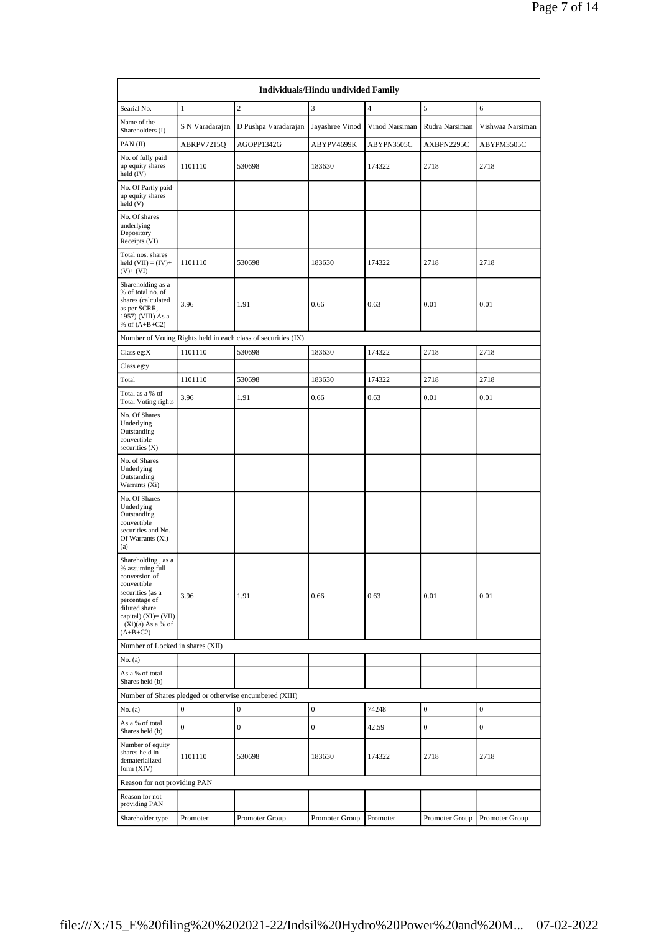|                                                                                                                                                                                           |                  |                                                               | Individuals/Hindu undivided Family |                         |                  |                  |
|-------------------------------------------------------------------------------------------------------------------------------------------------------------------------------------------|------------------|---------------------------------------------------------------|------------------------------------|-------------------------|------------------|------------------|
| Searial No.                                                                                                                                                                               | $\mathbf{1}$     | $\sqrt{2}$                                                    | 3                                  | $\overline{\mathbf{4}}$ | 5                | 6                |
| Name of the<br>Shareholders (I)                                                                                                                                                           | S N Varadarajan  | D Pushpa Varadarajan                                          | Jayashree Vinod                    | Vinod Narsiman          | Rudra Narsiman   | Vishwaa Narsiman |
| PAN(II)                                                                                                                                                                                   | ABRPV7215Q       | AGOPP1342G                                                    | ABYPV4699K                         | ABYPN3505C              | AXBPN2295C       | ABYPM3505C       |
| No. of fully paid<br>up equity shares<br>held (IV)                                                                                                                                        | 1101110          | 530698                                                        | 183630                             | 174322                  | 2718             | 2718             |
| No. Of Partly paid-<br>up equity shares<br>held (V)                                                                                                                                       |                  |                                                               |                                    |                         |                  |                  |
| No. Of shares<br>underlying<br>Depository<br>Receipts (VI)                                                                                                                                |                  |                                                               |                                    |                         |                  |                  |
| Total nos. shares<br>held $(VII) = (IV) +$<br>$(V)$ + $(VI)$                                                                                                                              | 1101110          | 530698                                                        | 183630                             | 174322                  | 2718             | 2718             |
| Shareholding as a<br>% of total no. of<br>shares (calculated<br>as per SCRR,<br>1957) (VIII) As a<br>% of $(A+B+C2)$                                                                      | 3.96             | 1.91                                                          | 0.66                               | 0.63                    | 0.01             | 0.01             |
|                                                                                                                                                                                           |                  | Number of Voting Rights held in each class of securities (IX) |                                    |                         |                  |                  |
| Class eg:X                                                                                                                                                                                | 1101110          | 530698                                                        | 183630                             | 174322                  | 2718             | 2718             |
| Class eg:y                                                                                                                                                                                |                  |                                                               |                                    |                         |                  |                  |
| Total                                                                                                                                                                                     | 1101110          | 530698                                                        | 183630                             | 174322                  | 2718             | 2718             |
| Total as a % of<br><b>Total Voting rights</b>                                                                                                                                             | 3.96             | 1.91                                                          | 0.66                               | 0.63                    | 0.01             | 0.01             |
| No. Of Shares<br>Underlying<br>Outstanding<br>convertible<br>securities $(X)$                                                                                                             |                  |                                                               |                                    |                         |                  |                  |
| No. of Shares<br>Underlying<br>Outstanding<br>Warrants (Xi)                                                                                                                               |                  |                                                               |                                    |                         |                  |                  |
| No. Of Shares<br>Underlying<br>Outstanding<br>convertible<br>securities and No.<br>Of Warrants (Xi)<br>(a)                                                                                |                  |                                                               |                                    |                         |                  |                  |
| Shareholding, as a<br>% assuming full<br>conversion of<br>convertible<br>securities (as a<br>percentage of<br>diluted share<br>capital) (XI)= (VII)<br>$+(Xi)(a)$ As a % of<br>$(A+B+C2)$ | 3.96             | 1.91                                                          | 0.66                               | 0.63                    | 0.01             | 0.01             |
| Number of Locked in shares (XII)                                                                                                                                                          |                  |                                                               |                                    |                         |                  |                  |
| No. (a)                                                                                                                                                                                   |                  |                                                               |                                    |                         |                  |                  |
| As a % of total<br>Shares held (b)                                                                                                                                                        |                  |                                                               |                                    |                         |                  |                  |
|                                                                                                                                                                                           |                  | Number of Shares pledged or otherwise encumbered (XIII)       |                                    |                         |                  |                  |
| No. (a)<br>As a % of total                                                                                                                                                                | $\mathbf 0$      | $\boldsymbol{0}$                                              | $\boldsymbol{0}$                   | 74248                   | $\boldsymbol{0}$ | $\boldsymbol{0}$ |
| Shares held (b)                                                                                                                                                                           | $\boldsymbol{0}$ | $\bf{0}$                                                      | $\boldsymbol{0}$                   | 42.59                   | $\mathbf{0}$     | $\boldsymbol{0}$ |
| Number of equity<br>shares held in<br>dematerialized<br>form (XIV)                                                                                                                        | 1101110          | 530698                                                        | 183630                             | 174322                  | 2718             | 2718             |
| Reason for not providing PAN                                                                                                                                                              |                  |                                                               |                                    |                         |                  |                  |
| Reason for not<br>providing PAN                                                                                                                                                           |                  |                                                               |                                    |                         |                  |                  |
| Shareholder type                                                                                                                                                                          | Promoter         | Promoter Group                                                | Promoter Group                     | Promoter                | Promoter Group   | Promoter Group   |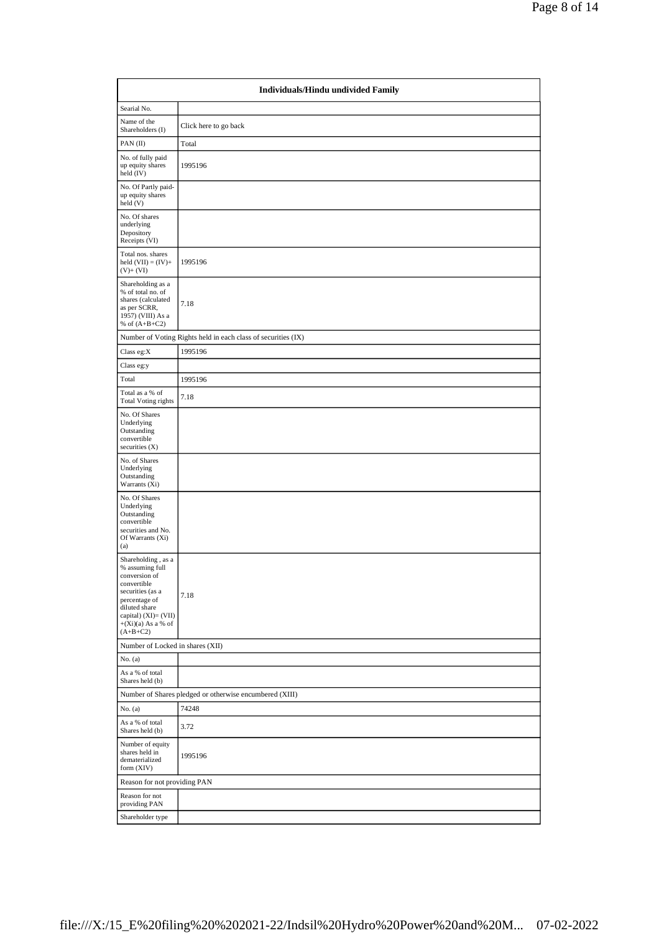|                                                                                                                                                                                           | Individuals/Hindu undivided Family                            |
|-------------------------------------------------------------------------------------------------------------------------------------------------------------------------------------------|---------------------------------------------------------------|
| Searial No.                                                                                                                                                                               |                                                               |
| Name of the<br>Shareholders (I)                                                                                                                                                           | Click here to go back                                         |
| PAN $(II)$                                                                                                                                                                                | Total                                                         |
| No. of fully paid<br>up equity shares<br>held (IV)                                                                                                                                        | 1995196                                                       |
| No. Of Partly paid-<br>up equity shares<br>held(V)                                                                                                                                        |                                                               |
| No. Of shares<br>underlying<br>Depository<br>Receipts (VI)                                                                                                                                |                                                               |
| Total nos. shares<br>held $(VII) = (IV) +$<br>$(V)$ + $(VI)$                                                                                                                              | 1995196                                                       |
| Shareholding as a<br>% of total no. of<br>shares (calculated<br>as per SCRR,<br>1957) (VIII) As a<br>% of $(A+B+C2)$                                                                      | 7.18                                                          |
|                                                                                                                                                                                           | Number of Voting Rights held in each class of securities (IX) |
| Class eg:X                                                                                                                                                                                | 1995196                                                       |
| Class eg:y                                                                                                                                                                                |                                                               |
| Total                                                                                                                                                                                     | 1995196                                                       |
| Total as a % of<br>Total Voting rights                                                                                                                                                    | 7.18                                                          |
| No. Of Shares<br>Underlying<br>Outstanding<br>convertible<br>securities $(X)$                                                                                                             |                                                               |
| No. of Shares<br>Underlying<br>Outstanding<br>Warrants (Xi)                                                                                                                               |                                                               |
| No. Of Shares<br>Underlying<br>Outstanding<br>convertible<br>securities and No.<br>Of Warrants (Xi)<br>(a)                                                                                |                                                               |
| Shareholding, as a<br>% assuming full<br>conversion of<br>convertible<br>securities (as a<br>percentage of<br>diluted share<br>capital) (XI)= (VII)<br>$+(Xi)(a)$ As a % of<br>$(A+B+C2)$ | 7.18                                                          |
| Number of Locked in shares (XII)                                                                                                                                                          |                                                               |
| No. (a)                                                                                                                                                                                   |                                                               |
| As a % of total<br>Shares held (b)                                                                                                                                                        |                                                               |
|                                                                                                                                                                                           | Number of Shares pledged or otherwise encumbered (XIII)       |
| No. (a)                                                                                                                                                                                   | 74248                                                         |
| As a % of total<br>Shares held (b)                                                                                                                                                        | 3.72                                                          |
| Number of equity<br>shares held in<br>dematerialized<br>form (XIV)                                                                                                                        | 1995196                                                       |
| Reason for not providing PAN                                                                                                                                                              |                                                               |
| Reason for not<br>providing PAN                                                                                                                                                           |                                                               |
| Shareholder type                                                                                                                                                                          |                                                               |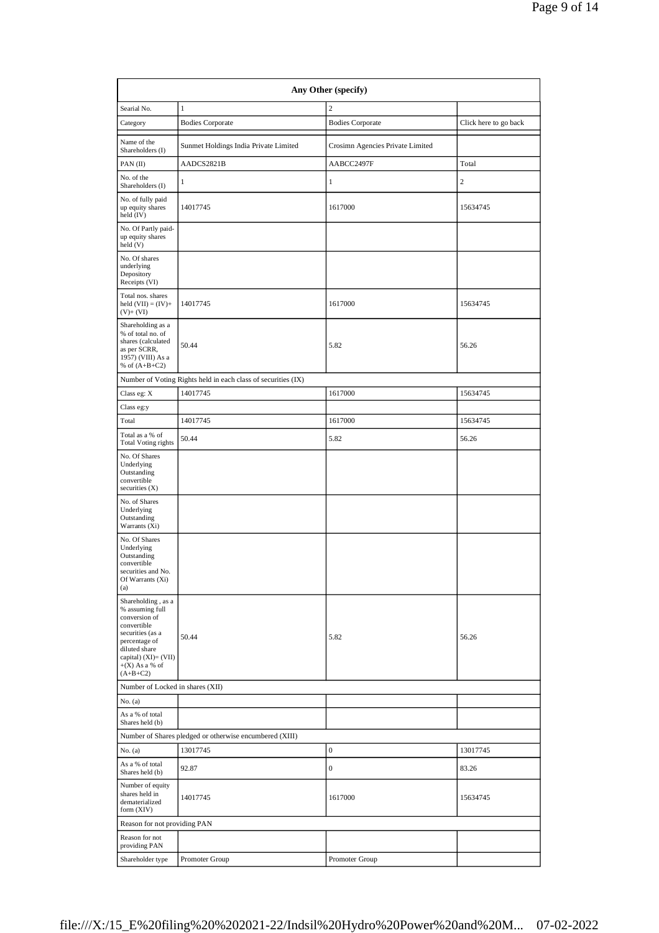|                                                                                                                                                                                          | Any Other (specify)                                           |                                  |                       |  |  |  |  |  |
|------------------------------------------------------------------------------------------------------------------------------------------------------------------------------------------|---------------------------------------------------------------|----------------------------------|-----------------------|--|--|--|--|--|
| Searial No.                                                                                                                                                                              | $1\,$                                                         | $\overline{c}$                   |                       |  |  |  |  |  |
| Category                                                                                                                                                                                 | <b>Bodies Corporate</b>                                       | <b>Bodies Corporate</b>          | Click here to go back |  |  |  |  |  |
| Name of the<br>Shareholders (I)                                                                                                                                                          | Sunmet Holdings India Private Limited                         | Crosimn Agencies Private Limited |                       |  |  |  |  |  |
| PAN(II)                                                                                                                                                                                  | AADCS2821B                                                    | AABCC2497F                       | Total                 |  |  |  |  |  |
| No. of the<br>Shareholders (I)                                                                                                                                                           | 1                                                             | $\mathbf{1}$                     | $\mathfrak{2}$        |  |  |  |  |  |
| No. of fully paid<br>up equity shares<br>held $(IV)$                                                                                                                                     | 14017745                                                      | 1617000                          | 15634745              |  |  |  |  |  |
| No. Of Partly paid-<br>up equity shares<br>held(V)                                                                                                                                       |                                                               |                                  |                       |  |  |  |  |  |
| No. Of shares<br>underlying<br>Depository<br>Receipts (VI)                                                                                                                               |                                                               |                                  |                       |  |  |  |  |  |
| Total nos. shares<br>held $(VII) = (IV) +$<br>$(V)$ + $(VI)$                                                                                                                             | 14017745                                                      | 1617000                          | 15634745              |  |  |  |  |  |
| Shareholding as a<br>% of total no. of<br>shares (calculated<br>as per SCRR,<br>1957) (VIII) As a<br>% of $(A+B+C2)$                                                                     | 50.44                                                         | 5.82                             | 56.26                 |  |  |  |  |  |
|                                                                                                                                                                                          | Number of Voting Rights held in each class of securities (IX) |                                  |                       |  |  |  |  |  |
| Class eg: X                                                                                                                                                                              | 14017745                                                      | 1617000                          | 15634745              |  |  |  |  |  |
| Class eg:y                                                                                                                                                                               |                                                               |                                  |                       |  |  |  |  |  |
| Total                                                                                                                                                                                    | 14017745                                                      | 1617000                          | 15634745              |  |  |  |  |  |
| Total as a % of<br><b>Total Voting rights</b>                                                                                                                                            | 50.44                                                         | 5.82                             | 56.26                 |  |  |  |  |  |
| No. Of Shares<br>Underlying<br>Outstanding<br>convertible<br>securities $(X)$                                                                                                            |                                                               |                                  |                       |  |  |  |  |  |
| No. of Shares<br>Underlying<br>Outstanding<br>Warrants (Xi)                                                                                                                              |                                                               |                                  |                       |  |  |  |  |  |
| No. Of Shares<br>Underlying<br>Outstanding<br>convertible<br>securities and No.<br>Of Warrants (Xi)<br>(a)                                                                               |                                                               |                                  |                       |  |  |  |  |  |
| Shareholding, as a<br>% assuming full<br>conversion of<br>convertible<br>securities (as a<br>percentage of<br>diluted share<br>capital) $(XI) = (VII)$<br>$+(X)$ As a % of<br>$(A+B+C2)$ | 50.44                                                         | 5.82                             | 56.26                 |  |  |  |  |  |
| Number of Locked in shares (XII)                                                                                                                                                         |                                                               |                                  |                       |  |  |  |  |  |
| No. (a)                                                                                                                                                                                  |                                                               |                                  |                       |  |  |  |  |  |
| As a % of total<br>Shares held (b)                                                                                                                                                       |                                                               |                                  |                       |  |  |  |  |  |
|                                                                                                                                                                                          | Number of Shares pledged or otherwise encumbered (XIII)       |                                  |                       |  |  |  |  |  |
| No. (a)                                                                                                                                                                                  | 13017745                                                      | $\boldsymbol{0}$                 | 13017745              |  |  |  |  |  |
| As a % of total<br>Shares held (b)                                                                                                                                                       | 92.87                                                         | $\boldsymbol{0}$                 | 83.26                 |  |  |  |  |  |
| Number of equity<br>shares held in<br>dematerialized<br>form $(XIV)$                                                                                                                     | 14017745                                                      | 1617000                          | 15634745              |  |  |  |  |  |
| Reason for not providing PAN                                                                                                                                                             |                                                               |                                  |                       |  |  |  |  |  |
| Reason for not<br>providing PAN                                                                                                                                                          |                                                               |                                  |                       |  |  |  |  |  |
| Shareholder type                                                                                                                                                                         | Promoter Group                                                | Promoter Group                   |                       |  |  |  |  |  |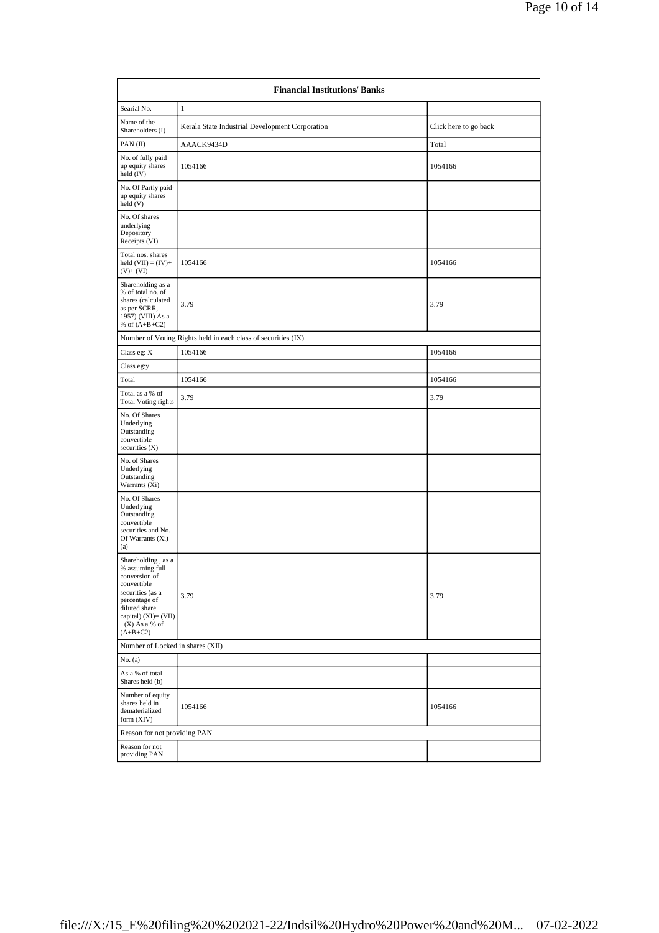|                                                                                                                                                                                       | <b>Financial Institutions/Banks</b>                           |                       |  |  |  |  |
|---------------------------------------------------------------------------------------------------------------------------------------------------------------------------------------|---------------------------------------------------------------|-----------------------|--|--|--|--|
| Searial No.                                                                                                                                                                           | $\mathbf{1}$                                                  |                       |  |  |  |  |
| Name of the<br>Shareholders (I)                                                                                                                                                       | Kerala State Industrial Development Corporation               | Click here to go back |  |  |  |  |
| PAN $(II)$                                                                                                                                                                            | AAACK9434D                                                    | Total                 |  |  |  |  |
| No. of fully paid<br>up equity shares<br>held (IV)                                                                                                                                    | 1054166                                                       | 1054166               |  |  |  |  |
| No. Of Partly paid-<br>up equity shares<br>held(V)                                                                                                                                    |                                                               |                       |  |  |  |  |
| No. Of shares<br>underlying<br>Depository<br>Receipts (VI)                                                                                                                            |                                                               |                       |  |  |  |  |
| Total nos. shares<br>held $(VII) = (IV) +$<br>$(V)$ + $(VI)$                                                                                                                          | 1054166                                                       | 1054166               |  |  |  |  |
| Shareholding as a<br>% of total no. of<br>shares (calculated<br>as per SCRR,<br>1957) (VIII) As a<br>% of $(A+B+C2)$                                                                  | 3.79                                                          | 3.79                  |  |  |  |  |
|                                                                                                                                                                                       | Number of Voting Rights held in each class of securities (IX) |                       |  |  |  |  |
| Class eg: X                                                                                                                                                                           | 1054166                                                       | 1054166               |  |  |  |  |
| Class eg:y                                                                                                                                                                            |                                                               |                       |  |  |  |  |
| Total                                                                                                                                                                                 | 1054166                                                       | 1054166               |  |  |  |  |
| Total as a % of<br><b>Total Voting rights</b>                                                                                                                                         | 3.79                                                          | 3.79                  |  |  |  |  |
| No. Of Shares<br>Underlying<br>Outstanding<br>convertible<br>securities $(X)$                                                                                                         |                                                               |                       |  |  |  |  |
| No. of Shares<br>Underlying<br>Outstanding<br>Warrants (Xi)                                                                                                                           |                                                               |                       |  |  |  |  |
| No. Of Shares<br>Underlying<br>Outstanding<br>convertible<br>securities and No.<br>Of Warrants (Xi)<br>(a)                                                                            |                                                               |                       |  |  |  |  |
| Shareholding, as a<br>% assuming full<br>conversion of<br>convertible<br>securities (as a<br>percentage of<br>diluted share<br>capital) (XI)= (VII)<br>$+(X)$ As a % of<br>$(A+B+C2)$ | 3.79                                                          | 3.79                  |  |  |  |  |
| Number of Locked in shares (XII)                                                                                                                                                      |                                                               |                       |  |  |  |  |
| No. (a)                                                                                                                                                                               |                                                               |                       |  |  |  |  |
| As a % of total<br>Shares held (b)                                                                                                                                                    |                                                               |                       |  |  |  |  |
| Number of equity<br>shares held in<br>dematerialized<br>form (XIV)                                                                                                                    | 1054166                                                       | 1054166               |  |  |  |  |
| Reason for not providing PAN                                                                                                                                                          |                                                               |                       |  |  |  |  |
| Reason for not<br>providing PAN                                                                                                                                                       |                                                               |                       |  |  |  |  |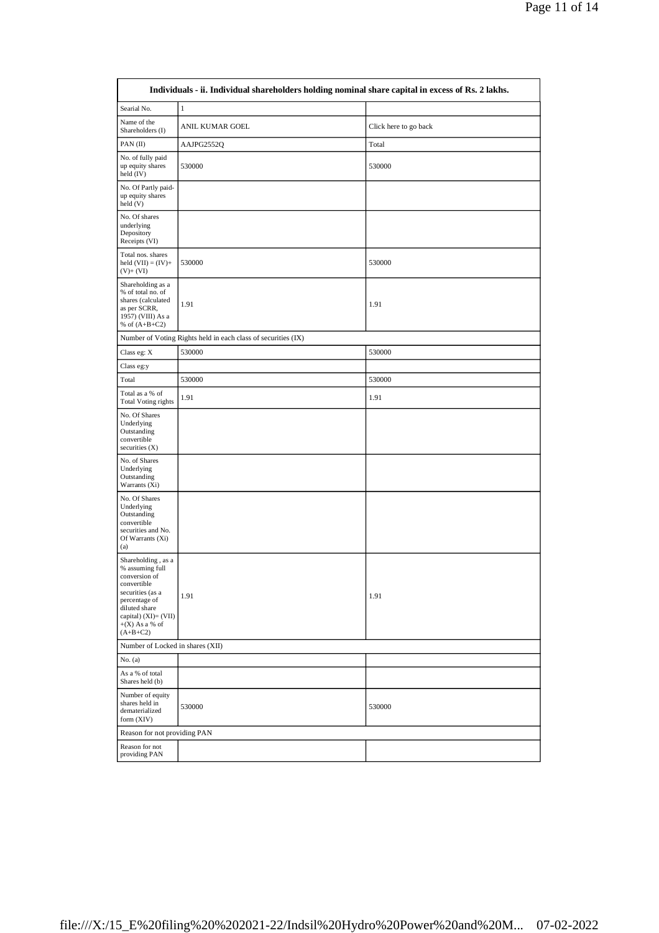|                                                                                                                                                                                          | Individuals - ii. Individual shareholders holding nominal share capital in excess of Rs. 2 lakhs. |                       |
|------------------------------------------------------------------------------------------------------------------------------------------------------------------------------------------|---------------------------------------------------------------------------------------------------|-----------------------|
| Searial No.                                                                                                                                                                              | $\,1\,$                                                                                           |                       |
| Name of the<br>Shareholders (I)                                                                                                                                                          | ANIL KUMAR GOEL                                                                                   | Click here to go back |
| PAN $(II)$                                                                                                                                                                               | AAJPG2552Q                                                                                        | Total                 |
| No. of fully paid<br>up equity shares<br>held $(IV)$                                                                                                                                     | 530000                                                                                            | 530000                |
| No. Of Partly paid-<br>up equity shares<br>held (V)                                                                                                                                      |                                                                                                   |                       |
| No. Of shares<br>underlying<br>Depository<br>Receipts (VI)                                                                                                                               |                                                                                                   |                       |
| Total nos. shares<br>held $(VII) = (IV) +$<br>$(V)$ + $(VI)$                                                                                                                             | 530000                                                                                            | 530000                |
| Shareholding as a<br>% of total no. of<br>shares (calculated<br>as per SCRR,<br>1957) (VIII) As a<br>% of $(A+B+C2)$                                                                     | 1.91                                                                                              | 1.91                  |
|                                                                                                                                                                                          | Number of Voting Rights held in each class of securities (IX)                                     |                       |
| Class eg: $\mathbf X$                                                                                                                                                                    | 530000                                                                                            | 530000                |
| Class eg:y                                                                                                                                                                               |                                                                                                   |                       |
| Total                                                                                                                                                                                    | 530000                                                                                            | 530000                |
| Total as a % of<br><b>Total Voting rights</b>                                                                                                                                            | 1.91                                                                                              | 1.91                  |
| No. Of Shares<br>Underlying<br>Outstanding<br>convertible<br>securities $(X)$                                                                                                            |                                                                                                   |                       |
| No. of Shares<br>Underlying<br>Outstanding<br>Warrants (Xi)                                                                                                                              |                                                                                                   |                       |
| No. Of Shares<br>Underlying<br>Outstanding<br>convertible<br>securities and No.<br>Of Warrants (Xi)<br>(a)                                                                               |                                                                                                   |                       |
| Shareholding, as a<br>% assuming full<br>conversion of<br>convertible<br>securities (as a<br>percentage of<br>diluted share<br>capital) $(XI) = (VII)$<br>$+(X)$ As a % of<br>$(A+B+C2)$ | 1.91                                                                                              | 1.91                  |
| Number of Locked in shares (XII)                                                                                                                                                         |                                                                                                   |                       |
| No. (a)                                                                                                                                                                                  |                                                                                                   |                       |
| As a % of total<br>Shares held (b)                                                                                                                                                       |                                                                                                   |                       |
| Number of equity<br>shares held in<br>dematerialized<br>form (XIV)                                                                                                                       | 530000                                                                                            | 530000                |
| Reason for not providing PAN                                                                                                                                                             |                                                                                                   |                       |
| Reason for not<br>providing PAN                                                                                                                                                          |                                                                                                   |                       |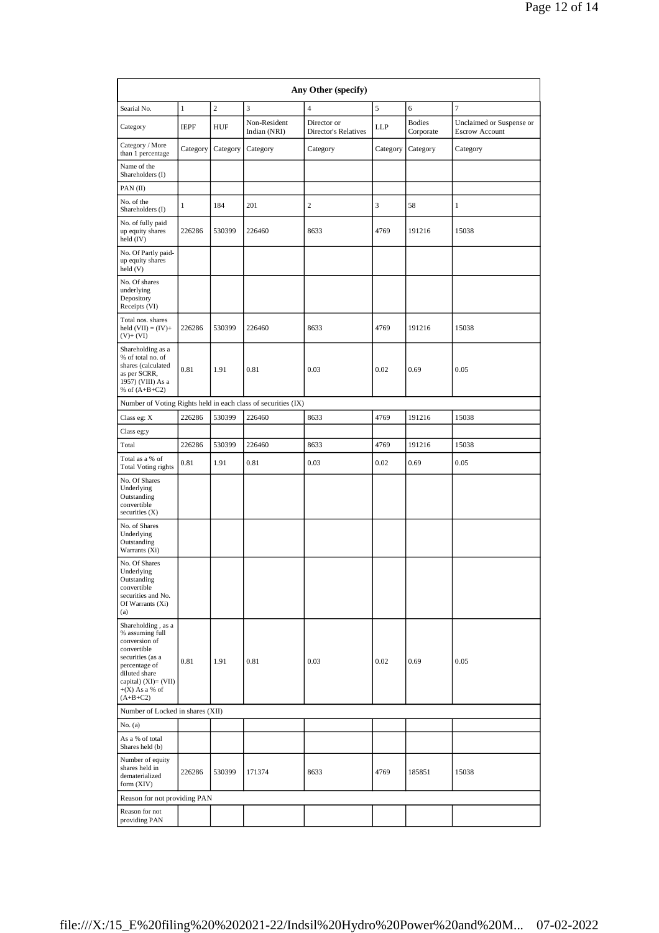|                                                                                                                                                                                       | Any Other (specify) |                |                                                               |                                     |          |                            |                                                   |  |
|---------------------------------------------------------------------------------------------------------------------------------------------------------------------------------------|---------------------|----------------|---------------------------------------------------------------|-------------------------------------|----------|----------------------------|---------------------------------------------------|--|
| Searial No.                                                                                                                                                                           | $\mathbf{1}$        | $\overline{2}$ | 3                                                             | $\overline{4}$                      | 5        | 6                          | 7                                                 |  |
| Category                                                                                                                                                                              | <b>IEPF</b>         | HUF            | Non-Resident<br>Indian (NRI)                                  | Director or<br>Director's Relatives | LLP      | <b>Bodies</b><br>Corporate | Unclaimed or Suspense or<br><b>Escrow Account</b> |  |
| Category / More<br>than 1 percentage                                                                                                                                                  | Category            | Category       | Category                                                      | Category                            | Category | Category                   | Category                                          |  |
| Name of the<br>Shareholders (I)                                                                                                                                                       |                     |                |                                                               |                                     |          |                            |                                                   |  |
| PAN(II)                                                                                                                                                                               |                     |                |                                                               |                                     |          |                            |                                                   |  |
| No. of the<br>Shareholders (I)                                                                                                                                                        | 1                   | 184            | 201                                                           | 2                                   | 3        | 58                         | 1                                                 |  |
| No. of fully paid<br>up equity shares<br>held (IV)                                                                                                                                    | 226286              | 530399         | 226460                                                        | 8633                                | 4769     | 191216                     | 15038                                             |  |
| No. Of Partly paid-<br>up equity shares<br>held (V)                                                                                                                                   |                     |                |                                                               |                                     |          |                            |                                                   |  |
| No. Of shares<br>underlying<br>Depository<br>Receipts (VI)                                                                                                                            |                     |                |                                                               |                                     |          |                            |                                                   |  |
| Total nos. shares<br>held $(VII) = (IV) +$<br>$(V)$ + $(VI)$                                                                                                                          | 226286              | 530399         | 226460                                                        | 8633                                | 4769     | 191216                     | 15038                                             |  |
| Shareholding as a<br>% of total no. of<br>shares (calculated<br>as per SCRR,<br>1957) (VIII) As a<br>% of $(A+B+C2)$                                                                  | 0.81                | 1.91           | 0.81                                                          | 0.03                                | 0.02     | 0.69                       | 0.05                                              |  |
|                                                                                                                                                                                       |                     |                | Number of Voting Rights held in each class of securities (IX) |                                     |          |                            |                                                   |  |
| Class eg: X                                                                                                                                                                           | 226286              | 530399         | 226460                                                        | 8633                                | 4769     | 191216                     | 15038                                             |  |
| Class eg:y                                                                                                                                                                            |                     |                |                                                               |                                     |          |                            |                                                   |  |
| Total                                                                                                                                                                                 | 226286              | 530399         | 226460                                                        | 8633                                | 4769     | 191216                     | 15038                                             |  |
| Total as a % of<br><b>Total Voting rights</b>                                                                                                                                         | 0.81                | 1.91           | 0.81                                                          | 0.03                                | 0.02     | 0.69                       | 0.05                                              |  |
| No. Of Shares<br>Underlying<br>Outstanding<br>convertible<br>securities $(X)$                                                                                                         |                     |                |                                                               |                                     |          |                            |                                                   |  |
| No. of Shares<br>Underlying<br>Outstanding<br>Warrants (Xi)                                                                                                                           |                     |                |                                                               |                                     |          |                            |                                                   |  |
| No. Of Shares<br>Underlying<br>Outstanding<br>convertible<br>securities and No.<br>Of Warrants (Xi)<br>(a)                                                                            |                     |                |                                                               |                                     |          |                            |                                                   |  |
| Shareholding, as a<br>% assuming full<br>conversion of<br>convertible<br>securities (as a<br>percentage of<br>diluted share<br>capital) (XI)= (VII)<br>$+(X)$ As a % of<br>$(A+B+C2)$ | 0.81                | 1.91           | 0.81                                                          | 0.03                                | 0.02     | 0.69                       | 0.05                                              |  |
| Number of Locked in shares (XII)                                                                                                                                                      |                     |                |                                                               |                                     |          |                            |                                                   |  |
| No. (a)                                                                                                                                                                               |                     |                |                                                               |                                     |          |                            |                                                   |  |
| As a % of total<br>Shares held (b)                                                                                                                                                    |                     |                |                                                               |                                     |          |                            |                                                   |  |
| Number of equity<br>shares held in<br>dematerialized<br>form (XIV)                                                                                                                    | 226286              | 530399         | 171374                                                        | 8633                                | 4769     | 185851                     | 15038                                             |  |
| Reason for not providing PAN                                                                                                                                                          |                     |                |                                                               |                                     |          |                            |                                                   |  |
| Reason for not<br>providing PAN                                                                                                                                                       |                     |                |                                                               |                                     |          |                            |                                                   |  |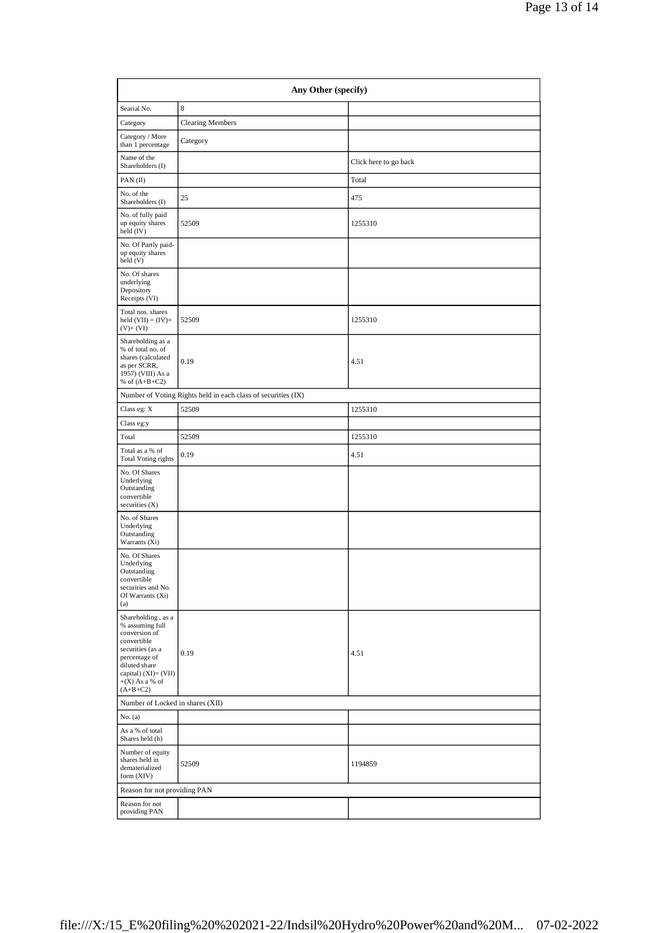| Any Other (specify)                                                                                                                                                                    |                                                               |                       |  |  |  |  |  |
|----------------------------------------------------------------------------------------------------------------------------------------------------------------------------------------|---------------------------------------------------------------|-----------------------|--|--|--|--|--|
| Searial No.                                                                                                                                                                            | 8                                                             |                       |  |  |  |  |  |
| Category                                                                                                                                                                               | <b>Clearing Members</b>                                       |                       |  |  |  |  |  |
| Category / More<br>than 1 percentage                                                                                                                                                   | Category                                                      |                       |  |  |  |  |  |
| Name of the<br>Shareholders (I)                                                                                                                                                        |                                                               | Click here to go back |  |  |  |  |  |
| PAN $(II)$                                                                                                                                                                             |                                                               | Total                 |  |  |  |  |  |
| No. of the<br>Shareholders (I)                                                                                                                                                         | 25                                                            | 475                   |  |  |  |  |  |
| No. of fully paid<br>up equity shares<br>held (IV)                                                                                                                                     | 52509                                                         | 1255310               |  |  |  |  |  |
| No. Of Partly paid-<br>up equity shares<br>held(V)                                                                                                                                     |                                                               |                       |  |  |  |  |  |
| No. Of shares<br>underlying<br>Depository<br>Receipts (VI)                                                                                                                             |                                                               |                       |  |  |  |  |  |
| Total nos. shares<br>held $(VII) = (IV) +$<br>$(V)$ + $(VI)$                                                                                                                           | 52509                                                         | 1255310               |  |  |  |  |  |
| Shareholding as a<br>% of total no. of<br>shares (calculated<br>as per SCRR,<br>1957) (VIII) As a<br>% of $(A+B+C2)$                                                                   | 0.19                                                          | 4.51                  |  |  |  |  |  |
|                                                                                                                                                                                        | Number of Voting Rights held in each class of securities (IX) |                       |  |  |  |  |  |
| Class eg: X                                                                                                                                                                            | 52509                                                         | 1255310               |  |  |  |  |  |
| Class eg:y                                                                                                                                                                             |                                                               |                       |  |  |  |  |  |
| Total                                                                                                                                                                                  | 52509                                                         | 1255310               |  |  |  |  |  |
| Total as a % of<br><b>Total Voting rights</b>                                                                                                                                          | 0.19                                                          | 4.51                  |  |  |  |  |  |
| No. Of Shares<br>Underlying<br>Outstanding<br>convertible<br>securities $(X)$                                                                                                          |                                                               |                       |  |  |  |  |  |
| No. of Shares<br>Underlying<br>Outstanding<br>Warrants (Xi)                                                                                                                            |                                                               |                       |  |  |  |  |  |
| No. Of Shares<br>Underlying<br>Outstanding<br>convertible<br>securities and No.<br>Of Warrants (Xi)<br>(a)                                                                             |                                                               |                       |  |  |  |  |  |
| Shareholding, as a<br>% assuming full<br>conversion of<br>convertible<br>securities (as a<br>percentage of<br>diluted share<br>capital) $(XI)=(VII)$<br>$+(X)$ As a % of<br>$(A+B+C2)$ | 0.19                                                          | 4.51                  |  |  |  |  |  |
| Number of Locked in shares (XII)                                                                                                                                                       |                                                               |                       |  |  |  |  |  |
| No. (a)                                                                                                                                                                                |                                                               |                       |  |  |  |  |  |
| As a % of total<br>Shares held (b)                                                                                                                                                     |                                                               |                       |  |  |  |  |  |
| Number of equity<br>shares held in<br>dematerialized<br>form $(XIV)$                                                                                                                   | 52509                                                         | 1194859               |  |  |  |  |  |
| Reason for not providing PAN                                                                                                                                                           |                                                               |                       |  |  |  |  |  |
| Reason for not<br>providing PAN                                                                                                                                                        |                                                               |                       |  |  |  |  |  |